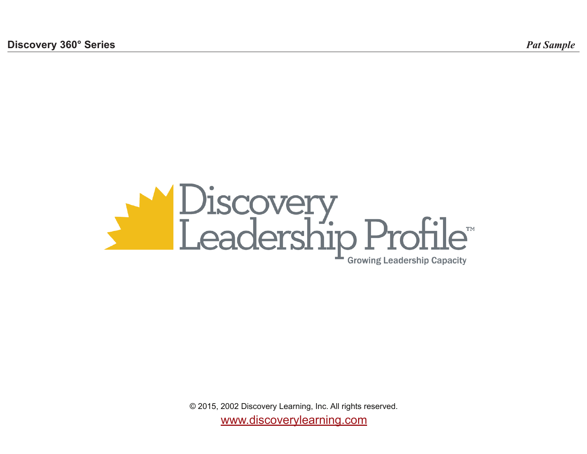

www.discoverylearning.com © 2015, 2002 Discovery Learning, Inc. All rights reserved.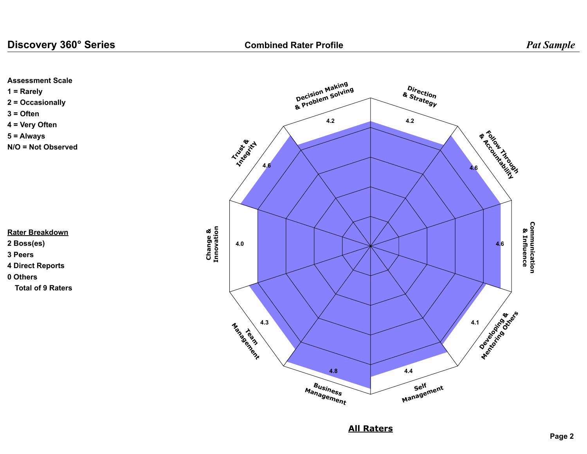



**All Raters**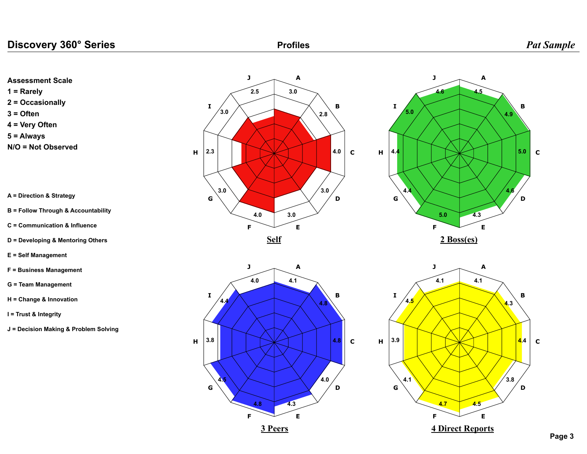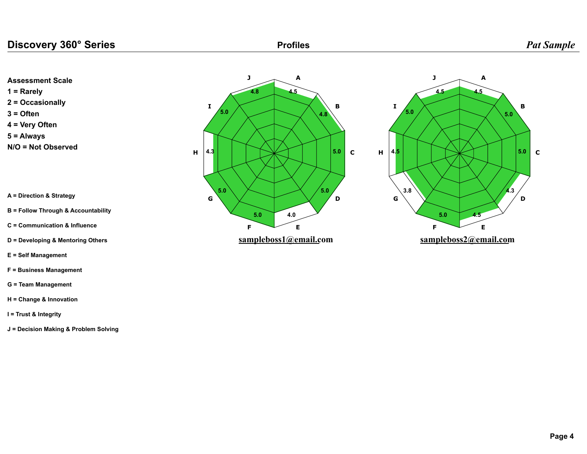**1 = Rarely 2 = Occasionally 3 = Often 4 = Very Often**

**Assessment Scale**

**5 = Always N/O = Not Observed**

**A = Direction & Strategy**

- **B = Follow Through & Accountability**
- **C = Communication & Influence**
- **D = Developing & Mentoring Others**

**E = Self Management**

- **F = Business Management**
- **G = Team Management**
- **H = Change & Innovation**
- **I = Trust & Integrity**
- **J = Decision Making & Problem Solving**



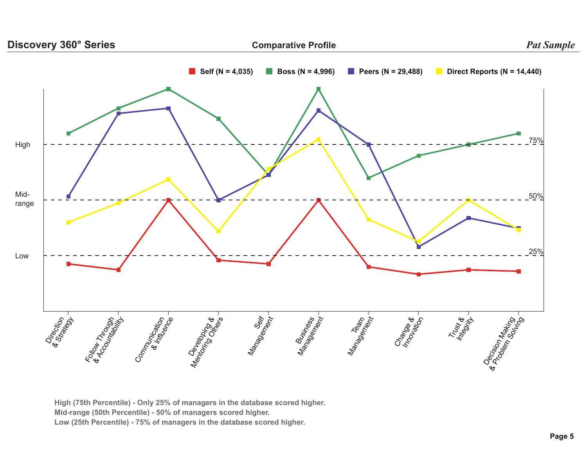

**High (75th Percentile) - Only 25% of managers in the database scored higher. Mid-range (50th Percentile) - 50% of managers scored higher. Low (25th Percentile) - 75% of managers in the database scored higher.**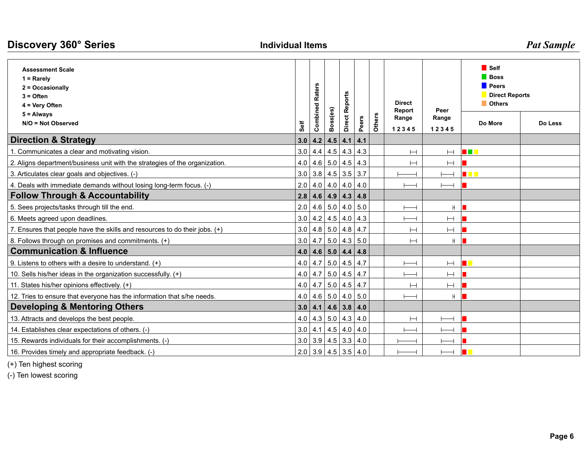| Discovery 360° Series                                                                        | <b>Individual Items</b> |                               | <b>Pat Sample</b> |                |       |        |                          |                        |                                                                                        |         |  |
|----------------------------------------------------------------------------------------------|-------------------------|-------------------------------|-------------------|----------------|-------|--------|--------------------------|------------------------|----------------------------------------------------------------------------------------|---------|--|
| <b>Assessment Scale</b><br>$1 =$ Rarely<br>2 = Occasionally<br>$3 =$ Often<br>4 = Very Often |                         | <b>Raters</b>                 |                   |                |       |        | <b>Direct</b>            |                        | <b>■</b> Self<br><b>Boss</b><br><b>Peers</b><br><b>Direct Reports</b><br><b>Others</b> |         |  |
| $5 =$ Always<br>N/O = Not Observed                                                           | Self                    | Combined                      | Boss(es)          | Direct Reports | Peers | Others | Report<br>Range<br>12345 | Peer<br>Range<br>12345 | Do More                                                                                | Do Less |  |
| <b>Direction &amp; Strategy</b>                                                              |                         | 3.0   4.2   4.5   4.1         |                   |                | 4.1   |        |                          |                        |                                                                                        |         |  |
| 1. Communicates a clear and motivating vision.                                               |                         | $3.0$   4.4   4.5   4.3   4.3 |                   |                |       |        | $\vdash$                 | $\vdash$               | <b>THE R</b>                                                                           |         |  |
| 2. Aligns department/business unit with the strategies of the organization.                  |                         | 4.0 4.6 5.0 4.5 4.3           |                   |                |       |        | $\vdash$                 | $\vdash$               |                                                                                        |         |  |
| 3. Articulates clear goals and objectives. (-)                                               |                         | $3.0$ 3.8 4.5 3.5 3.7         |                   |                |       |        |                          |                        | <u> Titl</u>                                                                           |         |  |
| 4. Deals with immediate demands without losing long-term focus. (-)                          |                         | $2.0$ 4.0 4.0 4.0 4.0         |                   |                |       |        |                          |                        |                                                                                        |         |  |
| <b>Follow Through &amp; Accountability</b>                                                   |                         | $2.8$ 4.6 4.9 4.3 4.8         |                   |                |       |        |                          |                        |                                                                                        |         |  |
| 5. Sees projects/tasks through till the end.                                                 |                         | $2.0$ 4.6 5.0 4.0 5.0         |                   |                |       |        |                          | H                      |                                                                                        |         |  |
| 6. Meets agreed upon deadlines.                                                              | 3.0                     |                               | $4.2$ 4.5 4.0 4.3 |                |       |        |                          | $\vdash\vdash$         |                                                                                        |         |  |
| 7. Ensures that people have the skills and resources to do their jobs. (+)                   |                         | 3.0   4.8   5.0   4.8   4.7   |                   |                |       |        | Н                        | Н                      |                                                                                        |         |  |
| 8. Follows through on promises and commitments. (+)                                          |                         | $3.0$   4.7   5.0   4.3   5.0 |                   |                |       |        | $\vdash$                 | H                      |                                                                                        |         |  |
| <b>Communication &amp; Influence</b>                                                         | 4.0                     |                               | 4.6 5.0 4.4 4.8   |                |       |        |                          |                        |                                                                                        |         |  |
| 9. Listens to others with a desire to understand. $(+)$                                      |                         | $4.0$   4.7   5.0   4.5   4.7 |                   |                |       |        |                          | $\vdash\vdash$         |                                                                                        |         |  |
| 10. Sells his/her ideas in the organization successfully. (+)                                |                         | $4.0$   4.7   5.0   4.5   4.7 |                   |                |       |        | $\overline{\phantom{0}}$ | $\vdash$               |                                                                                        |         |  |
| 11. States his/her opinions effectively. (+)                                                 | 4.0                     |                               | $4.7$ 5.0 4.5 4.7 |                |       |        | $\vdash$                 | $\vdash$               |                                                                                        |         |  |
| 12. Tries to ensure that everyone has the information that s/he needs.                       |                         | $4.0$ 4.6 5.0 4.0 5.0         |                   |                |       |        |                          | H                      |                                                                                        |         |  |
| <b>Developing &amp; Mentoring Others</b>                                                     |                         | $3.0$   4.1   4.6   3.8   4.0 |                   |                |       |        |                          |                        |                                                                                        |         |  |
| 13. Attracts and develops the best people.                                                   |                         | $4.0$   4.3   5.0   4.3   4.0 |                   |                |       |        | Н                        |                        |                                                                                        |         |  |
| 14. Establishes clear expectations of others. (-)                                            |                         | $3.0$   4.1   4.5   4.0   4.0 |                   |                |       |        |                          |                        |                                                                                        |         |  |
| 15. Rewards individuals for their accomplishments. (-)                                       |                         | $3.0$ 3.9 4.5 3.3 4.0         |                   |                |       |        |                          |                        |                                                                                        |         |  |
| 16. Provides timely and appropriate feedback. (-)                                            |                         | $2.0$ 3.9 4.5 3.5 4.0         |                   |                |       |        |                          |                        |                                                                                        |         |  |

(+) Ten highest scoring

(-) Ten lowest scoring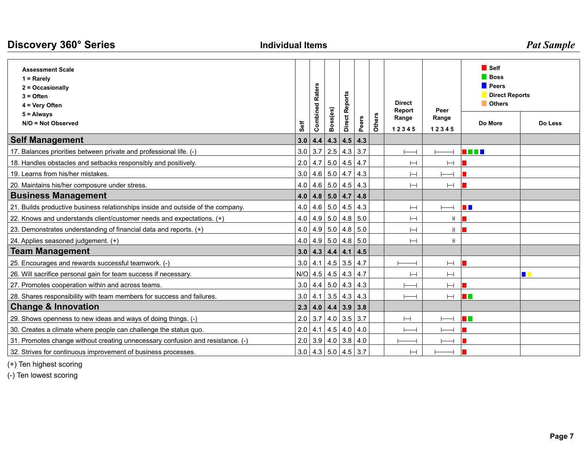| Discovery 360° Series                                                                        | <b>Individual Items</b> |                                       |          |                | <b>Pat Sample</b> |        |                         |                          |                                                                                 |         |
|----------------------------------------------------------------------------------------------|-------------------------|---------------------------------------|----------|----------------|-------------------|--------|-------------------------|--------------------------|---------------------------------------------------------------------------------|---------|
| <b>Assessment Scale</b><br>$1 =$ Rarely<br>2 = Occasionally<br>$3 =$ Often<br>4 = Very Often |                         | <b>Combined Raters</b>                |          | <b>Reports</b> |                   |        | <b>Direct</b><br>Report |                          | <b>■</b> Self<br>Boss<br><b>Peers</b><br><b>Direct Reports</b><br><b>Others</b> |         |
| $5 =$ Always<br>N/O = Not Observed                                                           | Self                    |                                       | Boss(es) | <b>Direct</b>  | Peers             | Others | Range<br>12345          | Peer<br>Range<br>12345   | Do More                                                                         | Do Less |
| <b>Self Management</b>                                                                       |                         | 3.0   4.4   4.3   4.5   4.3           |          |                |                   |        |                         |                          |                                                                                 |         |
| 17. Balances priorities between private and professional life. (-)                           |                         | $3.0$   3.7   2.5   4.3   3.7         |          |                |                   |        |                         |                          | n din k                                                                         |         |
| 18. Handles obstacles and setbacks responsibly and positively.                               |                         | $2.0$   4.7   5.0   4.5   4.7         |          |                |                   |        | $\vdash$                | Н                        |                                                                                 |         |
| 19. Learns from his/her mistakes.                                                            |                         | 3.0   4.6   5.0   4.7   4.3           |          |                |                   |        | $\vdash$                |                          |                                                                                 |         |
| 20. Maintains his/her composure under stress.                                                |                         | $4.0$   $4.6$   $5.0$   $4.5$   $4.3$ |          |                |                   |        | Н                       | Н                        |                                                                                 |         |
| <b>Business Management</b>                                                                   |                         | 4.0 $ $ 4.8 $ $ 5.0 $ $ 4.7 $ $ 4.8   |          |                |                   |        |                         |                          |                                                                                 |         |
| 21. Builds productive business relationships inside and outside of the company.              |                         | 4.0 $ $ 4.6 $ $ 5.0 $ $ 4.5 $ $ 4.3   |          |                |                   |        | $\vdash$                | $\overline{\phantom{0}}$ | n n                                                                             |         |
| 22. Knows and understands client/customer needs and expectations. (+)                        |                         | 4.0 4.9 5.0 4.8 5.0                   |          |                |                   |        | Н                       | H                        |                                                                                 |         |
| 23. Demonstrates understanding of financial data and reports. (+)                            |                         | $4.0$   $4.9$   $5.0$   $4.8$   $5.0$ |          |                |                   |        |                         | H                        |                                                                                 |         |
| 24. Applies seasoned judgement. (+)                                                          |                         | 4.0 4.9 5.0 4.8 5.0                   |          |                |                   |        | Н                       | H                        |                                                                                 |         |
| <b>Team Management</b>                                                                       |                         | $3.0$ 4.3 4.4 4.1 4.5                 |          |                |                   |        |                         |                          |                                                                                 |         |
| 25. Encourages and rewards successful teamwork. (-)                                          |                         | $3.0$ 4.1 4.5 3.5 4.7                 |          |                |                   |        |                         | $\vdash$                 |                                                                                 |         |
| 26. Will sacrifice personal gain for team success if necessary.                              |                         | $N/O$ 4.5 4.5 4.3 4.7                 |          |                |                   |        | Н                       | Н                        |                                                                                 | П       |
| 27. Promotes cooperation within and across teams.                                            |                         | $3.0$ 4.4 5.0 4.3 4.3                 |          |                |                   |        |                         | Н                        |                                                                                 |         |
| 28. Shares responsibility with team members for success and failures.                        |                         | $3.0$   4.1   3.5   4.3   4.3         |          |                |                   |        |                         | $\vdash$                 | n n                                                                             |         |
| <b>Change &amp; Innovation</b>                                                               |                         | $2.3$   4.0   4.4   3.9   3.8         |          |                |                   |        |                         |                          |                                                                                 |         |
| 29. Shows openness to new ideas and ways of doing things. (-)                                |                         | $2.0$ 3.7 4.0 3.5 3.7                 |          |                |                   |        | $\vdash\!\!\!\dashv$    |                          | n T                                                                             |         |
| 30. Creates a climate where people can challenge the status quo.                             |                         | $2.0$ 4.1 4.5 4.0 4.0                 |          |                |                   |        |                         |                          |                                                                                 |         |
| 31. Promotes change without creating unnecessary confusion and resistance. (-)               |                         | $2.0$ 3.9 4.0 3.8 4.0                 |          |                |                   |        |                         |                          |                                                                                 |         |
| 32. Strives for continuous improvement of business processes.                                |                         | $3.0$ 4.3 5.0 4.5 3.7                 |          |                |                   |        |                         |                          |                                                                                 |         |

(+) Ten highest scoring

(-) Ten lowest scoring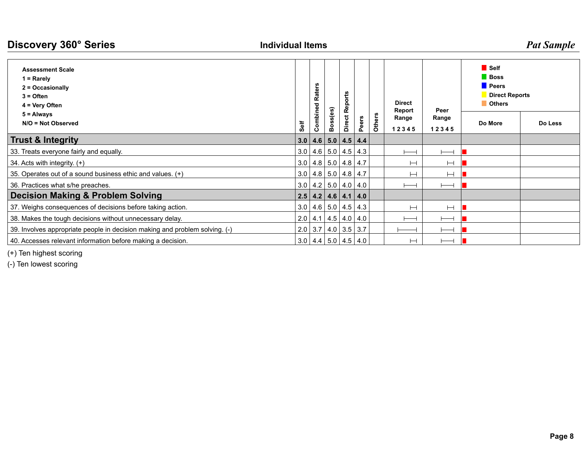| Discovery 360° Series<br><b>Individual Items</b>                                               |     |                               |                   |             |     |               |                 |          | <b>Pat Sample</b>                                                                      |         |         |
|------------------------------------------------------------------------------------------------|-----|-------------------------------|-------------------|-------------|-----|---------------|-----------------|----------|----------------------------------------------------------------------------------------|---------|---------|
| <b>Assessment Scale</b><br>$1 =$ Rarely<br>2 = Occasionally<br>$3 =$ Often<br>$4 = Very$ Often |     | œ<br>ω                        | බ                 | ť<br>٥<br>Ω |     |               | <b>Direct</b>   | Peer     | <b>■</b> Self<br><b>Boss</b><br><b>Peers</b><br><b>Direct Reports</b><br><b>Others</b> |         |         |
| $5 =$ Always<br>N/O = Not Observed                                                             |     |                               |                   |             | ers | <b>Others</b> | Report<br>Range | Range    |                                                                                        | Do More | Do Less |
|                                                                                                |     |                               |                   | ة           | Ő.  |               | 12345           | 12345    |                                                                                        |         |         |
| <b>Trust &amp; Integrity</b>                                                                   | 3.0 | 4.6                           |                   | 5.0 4.5 4.4 |     |               |                 |          |                                                                                        |         |         |
| 33. Treats everyone fairly and equally.                                                        | 3.0 |                               | $4.6$ 5.0 4.5 4.3 |             |     |               |                 |          |                                                                                        |         |         |
| 34. Acts with integrity. (+)                                                                   | 3.0 |                               | $4.8$ 5.0 4.8 4.7 |             |     |               |                 | $\vdash$ |                                                                                        |         |         |
| 35. Operates out of a sound business ethic and values. (+)                                     | 3.0 |                               | $4.8$ 5.0 4.8 4.7 |             |     |               |                 | $\vdash$ |                                                                                        |         |         |
| 36. Practices what s/he preaches.                                                              |     | $3.0$   4.2   5.0   4.0   4.0 |                   |             |     |               |                 |          |                                                                                        |         |         |
| Decision Making & Problem Solving                                                              |     | $2.5$   4.2   4.6   4.1   4.0 |                   |             |     |               |                 |          |                                                                                        |         |         |
| 37. Weighs consequences of decisions before taking action.                                     |     | 3.0   4.6   5.0   4.5   4.3   |                   |             |     |               | Н               | $\vdash$ |                                                                                        |         |         |
| 38. Makes the tough decisions without unnecessary delay.                                       |     | $2.0$   4.1   4.5   4.0   4.0 |                   |             |     |               |                 |          |                                                                                        |         |         |
| 39. Involves appropriate people in decision making and problem solving. (-)                    |     | $2.0$ 3.7 4.0 3.5 3.7         |                   |             |     |               |                 |          |                                                                                        |         |         |
| 40. Accesses relevant information before making a decision.                                    |     | $3.0$   4.4   5.0   4.5   4.0 |                   |             |     |               | ⊢⊣              |          |                                                                                        |         |         |

(+) Ten highest scoring

(-) Ten lowest scoring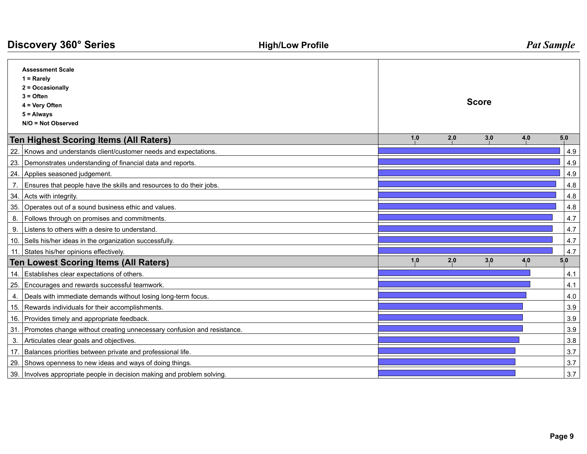| Discovery 360° Series |                                                                                                                                      | <b>High/Low Profile</b> | <b>Pat Sample</b> |              |     |     |     |  |  |  |  |
|-----------------------|--------------------------------------------------------------------------------------------------------------------------------------|-------------------------|-------------------|--------------|-----|-----|-----|--|--|--|--|
|                       | <b>Assessment Scale</b><br>$1 =$ Rarely<br>2 = Occasionally<br>$3 =$ Often<br>4 = Very Often<br>$5 =$ Always<br>$N/O = Not Observed$ |                         |                   | <b>Score</b> |     |     |     |  |  |  |  |
|                       | <b>Ten Highest Scoring Items (All Raters)</b>                                                                                        |                         | 1,0               | 2,0          | 3.0 | 4.0 | 5.0 |  |  |  |  |
|                       | 22. Knows and understands client/customer needs and expectations.                                                                    |                         |                   |              |     |     | 4.9 |  |  |  |  |
|                       | 23. Demonstrates understanding of financial data and reports.                                                                        |                         |                   |              |     |     | 4.9 |  |  |  |  |
|                       | 24. Applies seasoned judgement.                                                                                                      |                         |                   |              |     |     | 4.9 |  |  |  |  |
| 7.                    | Ensures that people have the skills and resources to do their jobs.                                                                  |                         |                   |              |     |     | 4.8 |  |  |  |  |
|                       | 34. Acts with integrity.                                                                                                             |                         |                   |              |     |     | 4.8 |  |  |  |  |
|                       | 35. Operates out of a sound business ethic and values.                                                                               |                         |                   |              |     |     | 4.8 |  |  |  |  |
|                       | 8.   Follows through on promises and commitments.                                                                                    |                         |                   |              |     |     | 4.7 |  |  |  |  |
| 9.                    | Listens to others with a desire to understand.                                                                                       |                         |                   |              |     |     | 4.7 |  |  |  |  |
|                       | 10. Sells his/her ideas in the organization successfully.                                                                            |                         |                   |              |     |     | 4.7 |  |  |  |  |
|                       | 11. States his/her opinions effectively.                                                                                             |                         |                   |              |     |     | 4.7 |  |  |  |  |
|                       | <b>Ten Lowest Scoring Items (All Raters)</b>                                                                                         |                         | 1.0               | 2.0          | 3.0 | 4.0 | 5.0 |  |  |  |  |
|                       | 14. Establishes clear expectations of others.                                                                                        |                         |                   |              |     |     | 4.1 |  |  |  |  |
|                       | 25. Encourages and rewards successful teamwork.                                                                                      |                         |                   |              |     |     | 4.1 |  |  |  |  |
| 4.                    | Deals with immediate demands without losing long-term focus.                                                                         |                         |                   |              |     |     | 4.0 |  |  |  |  |
|                       | 15. Rewards individuals for their accomplishments.                                                                                   |                         |                   |              |     |     | 3.9 |  |  |  |  |
|                       | 16. Provides timely and appropriate feedback.                                                                                        |                         |                   |              |     |     | 3.9 |  |  |  |  |
|                       | 31. Promotes change without creating unnecessary confusion and resistance.                                                           |                         |                   |              |     |     | 3.9 |  |  |  |  |
| 3.                    | Articulates clear goals and objectives.                                                                                              |                         |                   |              |     |     | 3.8 |  |  |  |  |
|                       | 17. Balances priorities between private and professional life.                                                                       |                         |                   |              |     |     | 3.7 |  |  |  |  |
|                       | 29. Shows openness to new ideas and ways of doing things.                                                                            |                         |                   |              |     |     | 3.7 |  |  |  |  |
|                       | 39. Involves appropriate people in decision making and problem solving.                                                              |                         |                   |              |     |     | 3.7 |  |  |  |  |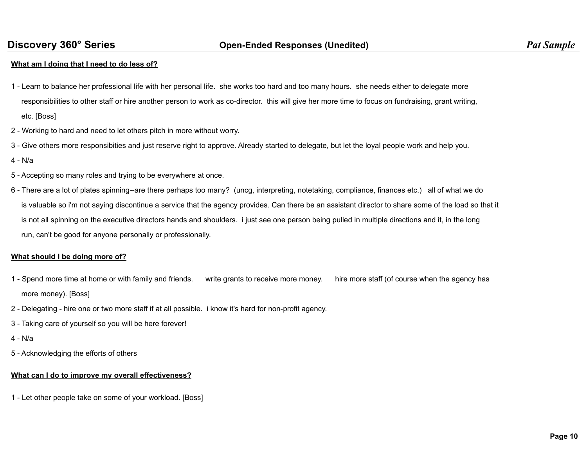### **What am I doing that I need to do less of?**

- 1 Learn to balance her professional life with her personal life. she works too hard and too many hours. she needs either to delegate more responsibilities to other staff or hire another person to work as co-director. this will give her more time to focus on fundraising, grant writing, etc. [Boss]
- 2 Working to hard and need to let others pitch in more without worry.
- 3 Give others more responsibities and just reserve right to approve. Already started to delegate, but let the loyal people work and help you.
- 4 N/a
- 5 Accepting so many roles and trying to be everywhere at once.
- 6 There are a lot of plates spinning--are there perhaps too many? (uncg, interpreting, notetaking, compliance, finances etc.) all of what we do is valuable so i'm not saying discontinue a service that the agency provides. Can there be an assistant director to share some of the load so that it is not all spinning on the executive directors hands and shoulders. i just see one person being pulled in multiple directions and it, in the long run, can't be good for anyone personally or professionally.

### **What should I be doing more of?**

- 1 Spend more time at home or with family and friends. write grants to receive more money. hire more staff (of course when the agency has more money). [Boss]
- 2 Delegating hire one or two more staff if at all possible. i know it's hard for non-profit agency.
- 3 Taking care of yourself so you will be here forever!
- 4 N/a
- 5 Acknowledging the efforts of others

### **What can I do to improve my overall effectiveness?**

1 - Let other people take on some of your workload. [Boss]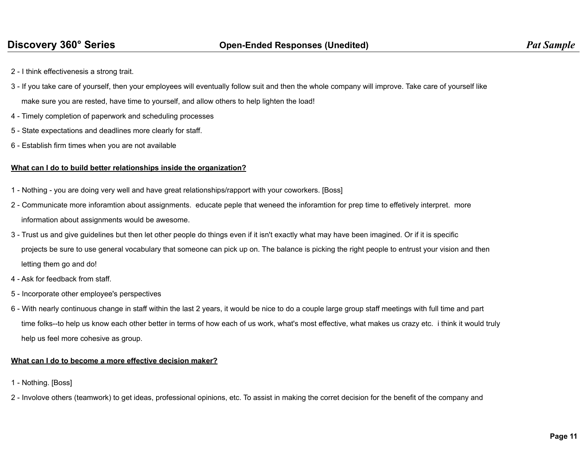- 2 I think effectivenesis a strong trait.
- 3 If you take care of yourself, then your employees will eventually follow suit and then the whole company will improve. Take care of yourself like

make sure you are rested, have time to yourself, and allow others to help lighten the load!

- 4 Timely completion of paperwork and scheduling processes
- 5 State expectations and deadlines more clearly for staff.
- 6 Establish firm times when you are not available

# **What can I do to build better relationships inside the organization?**

- 1 Nothing you are doing very well and have great relationships/rapport with your coworkers. [Boss]
- 2 Communicate more inforamtion about assignments. educate peple that weneed the inforamtion for prep time to effetively interpret. more information about assignments would be awesome.
- 3 Trust us and give guidelines but then let other people do things even if it isn't exactly what may have been imagined. Or if it is specific projects be sure to use general vocabulary that someone can pick up on. The balance is picking the right people to entrust your vision and then letting them go and do!
- 4 Ask for feedback from staff.
- 5 Incorporate other employee's perspectives
- 6 With nearly continuous change in staff within the last 2 years, it would be nice to do a couple large group staff meetings with full time and part time folks--to help us know each other better in terms of how each of us work, what's most effective, what makes us crazy etc. i think it would truly help us feel more cohesive as group.

## **What can I do to become a more effective decision maker?**

- 1 Nothing. [Boss]
- 2 Involove others (teamwork) to get ideas, professional opinions, etc. To assist in making the corret decision for the benefit of the company and